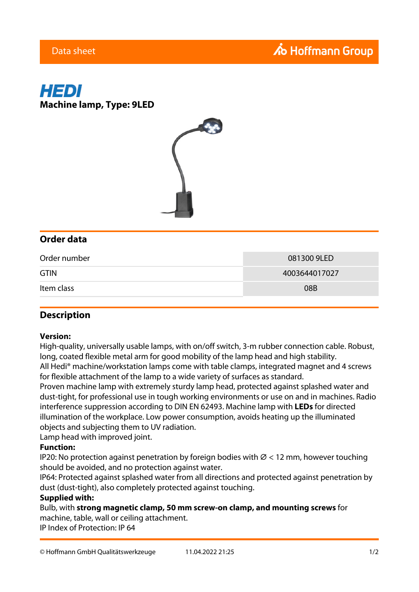# Ao Hoffmann Group





## **Order data**

| Order number | 081300 9LED   |
|--------------|---------------|
| <b>GTIN</b>  | 4003644017027 |
| Item class   | 08B           |

## **Description**

#### **Version:**

High-quality, universally usable lamps, with on/off switch, 3-m rubber connection cable. Robust, long, coated flexible metal arm for good mobility of the lamp head and high stability.

All Hedi® machine/workstation lamps come with table clamps, integrated magnet and 4 screws for flexible attachment of the lamp to a wide variety of surfaces as standard.

Proven machine lamp with extremely sturdy lamp head, protected against splashed water and dust-tight, for professional use in tough working environments or use on and in machines. Radio interference suppression according to DIN EN 62493. Machine lamp with **LEDs** for directed illumination of the workplace. Low power consumption, avoids heating up the illuminated objects and subjecting them to UV radiation.

Lamp head with improved joint.

#### **Function:**

IP20: No protection against penetration by foreign bodies with  $\varnothing$  < 12 mm, however touching should be avoided, and no protection against water.

IP64: Protected against splashed water from all directions and protected against penetration by dust (dust-tight), also completely protected against touching.

#### **Supplied with:**

Bulb, with **strong magnetic clamp, 50 mm screw-on clamp, and mounting screws** for machine, table, wall or ceiling attachment.

IP Index of Protection: IP 64